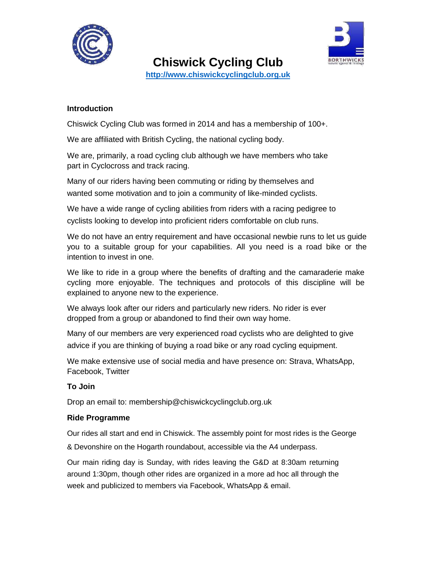



**Chiswick Cycling Club http://www.chiswickcyclingclub.org.uk**

## **Introduction**

Chiswick Cycling Club was formed in 2014 and has a membership of 100+.

We are affiliated with British Cycling, the national cycling body.

We are, primarily, a road cycling club although we have members who take part in Cyclocross and track racing.

Many of our riders having been commuting or riding by themselves and wanted some motivation and to join a community of like-minded cyclists.

We have a wide range of cycling abilities from riders with a racing pedigree to cyclists looking to develop into proficient riders comfortable on club runs.

We do not have an entry requirement and have occasional newbie runs to let us guide you to a suitable group for your capabilities. All you need is a road bike or the intention to invest in one.

We like to ride in a group where the benefits of drafting and the camaraderie make cycling more enjoyable. The techniques and protocols of this discipline will be explained to anyone new to the experience.

We always look after our riders and particularly new riders. No rider is ever dropped from a group or abandoned to find their own way home.

Many of our members are very experienced road cyclists who are delighted to give advice if you are thinking of buying a road bike or any road cycling equipment.

We make extensive use of social media and have presence on: Strava, WhatsApp, Facebook, Twitter

## **To Join**

Drop an email to: membership@chiswickcyclingclub.org.uk

## **Ride Programme**

Our rides all start and end in Chiswick. The assembly point for most rides is the George & Devonshire on the Hogarth roundabout, accessible via the A4 underpass.

Our main riding day is Sunday, with rides leaving the G&D at 8:30am returning around 1:30pm, though other rides are organized in a more ad hoc all through the week and publicized to members via Facebook, WhatsApp & email.